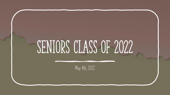# SENIORS CLASS OF 2022

**May 4th, 2022**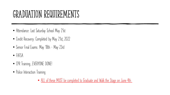#### Graduation Requirements

- **Attendance: Last Saturday School May 21st**
- **Credit Recovery: Completed by May 21st, 2022**
- **Senior Final Exams: May 18th – May 23rd**
- **FAFSA**
- **CPR Training...EVERYONE DONE!**
- **Police Interaction Training**

• **ALL of these MUST be completed to Graduate and Walk the Stage on June 4th**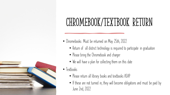

# CHROMEBOOK/TEXTBOOK RETURN

- **Chromebooks: Must be returned on May 25th, 2022**
	- **Return of all district technology is required to participate in graduation**
	- **Please bring the Chromebook and charger**
	- **We will have a plan for collecting them on this date**
- **Textbooks**
	- **Please return all library books and textbooks ASAP**
	- **If these are not turned in, they will become obligations and must be paid by June 2nd, 2022**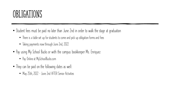#### OBLIGATIONS

- **Student fees must be paid no later than June 2nd in order to walk the stage at graduation**
	- **There is a table set up for students to come and pick up obligation forms and fees**
	- **Taking payments now through June 2nd, 2022**
- **Pay using My School Bucks or with the campus bookkeeper Ms. Enriquez**
	- **Pay Online at MySchoolBucks.com**
- **They can be paid on the following dates as well:**
	- **May 25th, 2022 – June 2nd AFTER Senior Activities**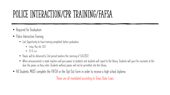### POLICE INTERACTION/CPR TRAINING/FAFSA

- **Required for Graduation**
- **Police Interaction Training**
	- **Last Opportunity to have training completed before graduation**
		- **Friday, May 6th, 2022**
		- **10:15 a.m.**
	- **Passes will be delivered to 2nd period teachers the morning of 5/6/2022**
	- **When announcement is made teachers will give passes to students and students will report to the library. Students will give the counselor at the door the passes as they enter. Students without passes will not be permitted into the library.**
- **All Students MUST complete the FAFSA or the Opt Out Form in order to receive a high school diploma**

**These are all mandated according to Texas State Laws**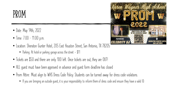#### PROM

- **Date: May 14th, 2022**
- **Time: 7:00 – 11:00 p.m.**
- **Location: Sheraton Gunter Hotel, 205 East Houston Street, San Antonio, TX 78205**
	- **Parking: At hotel or parking garage across the street - \$11**
- **Tickets are \$50 and there are only 100 left. Once tickets are out, they are OUT!**
- **ALL guest must have been approved in advance and guest form deadline has closed**
- **Prom Attire: Must align to WHS Dress Code Policy. Students can be turned away for dress code violations.**
	- **If you are bringing an outside guest, it is your responsibility to inform them of dress code and ensure they have a valid ID.**

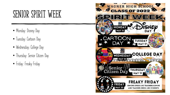#### SENIOR SPIRIT WEEK

- **Monday: Disney Day**
- **Tuesday: Cartoon Day**
- **Wednesday: College Day**
- **Thursday: Senior Citizen Day**
- **Friday: Freaky Friday**

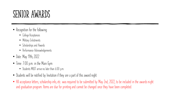#### Senior AWARDS

- **Recognition for the following:**
	- **College Acceptances**
	- **Military Enlistments**
	- **Scholarships and Awards**
	- **Performance Acknowledgements**
- **Date: May 19th, 2022**
- **Time: 7:00 p.m. in the Main Gym**
	- **Students MUST arrive no later than 6:00 p.m.**
- **Students will be notified by Invitation if they are a part of this award night**
- All acceptance letters, scholarship info, etc. was required to be submitted by May 2nd, 2022, to be included in the awards night **and graduation program. Items are due for printing and cannot be changed once they have been completed.**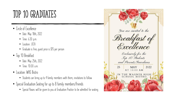### TOP 10 GRADUATES

- **Circle of Excellence**
	- **Date: May 18th, 2022**
	- **Time: 6:30 p.m.**
	- **Location: JECA**
	- **Graduate is free, guest price is \$15 per person**
- **Top 10 Breakfast**
	- **Date: May 25th, 2022**
	- $\bullet$  **Time:** 10:00 a.m.
- **Location: WHS Bistro**
	- **Students can bring up to 4 family members with them; invitations to follow**
- **Special Graduation Seating for up to 8 family members/friends**
	- **Special Passes will be given to you at Graduation Practice to be admitted for seating.**

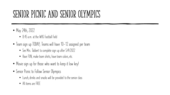### SENIOR PICNIC AND SENIOR OLYMPICS

- **May 24th, 2022**
	- **8:45 a.m. at the WHS Football Field**
- **Team sign up TODAY; Teams will have 10-12 assigned per team**
	- **See Mrs. Tabbert to complete sign up after 5/4/2022**
	- **Have FUN, make team shirts, have team colors, etc.**
- **Movie sign up for those who want to keep it low key!**
- **Senior Picnic to Follow Senior Olympics**
	- **Lunch, drinks and snacks will be provided to the senior class**
	- **All items are FREE**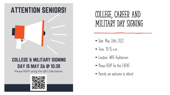#### **ATTENTION SENIORS!**



#### **COLLEGE & MILITARY SIGNING** DAY IS MAY 26 @ 10:30

Please RSVP using the QR Code below:



#### College, Career and Military Day Signing

- **Date: May 26th, 2022**
- **Time: 10:15 a.m.**
- **Location: WHS Auditorium**
- **Please RSVP for this EVENT**
- **Parents are welcome to attend**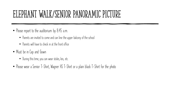#### Elephant Walk/Senior Panoramic Picture

- **Please report to the auditorium by 8:45 a.m.**
	- **Parents are invited to come and can line the upper balcony of the school**
	- **Parents will have to check in at the front office**
- **Must be in Cap and Gown**
	- **During this time, you can wear stoles, leis, etc.**
- **Please wear a Senior T-Shirt, Wagner HS T-Shirt or a plain black T-Shirt for the photo**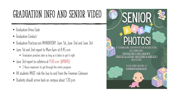# Graduation Info and Senior Video

- **Graduation Dress Code**
- **Graduation Conduct**
- **Graduation Practices are MANDATORY: June 1st, June 2nd and June 3rd**
- **June 1st and 2nd report to Main Gym at 8:45 a.m.**
	- **Graduation practices take as long as it takes to get it right**
- **June 3rd report to cafeteria at 9:30 a.m. (UPDATE)**
	- **2 Hours maximum to get through the entire program**
- **All students MUST ride the bus to and from the Freeman Coliseum**
- **Students should arrive back on campus about 1:30 p.m.**

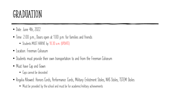#### GRADUATION

- **Date: June 4th, 2022**
- **Time: 2:00 p.m.; Doors open at 1:00 p.m. for families and friends**
	- **Students MUST ARRIVE by 10:30 a.m. (UPDATE)**
- **Location: Freeman Coliseum**
- **Students must provide their own transportation to and from the Freeman Coliseum**
- **Must have Cap and Gown**
	- **Caps cannot be decorated**
- **Regalia Allowed: Honors Cords, Performance Cords, Military Enlistment Stoles, NHS Stoles, TSTEM Stoles**
	- **Must be provided by the school and must be for academic/military achievements**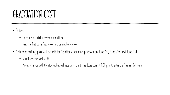#### GRADUATION CONT...

- **Tickets**
	- **There are no tickets; everyone can attend**
	- **Seats are first come first served and cannot be reserved**
- **1 student parking pass will be sold for \$5 after graduation practices on June 1st, June 2nd and June 3rd**
	- **Must have exact cash of \$5**
	- **Parents can ride with the student but will have to wait until the doors open at 1:00 p.m. to enter the Freeman Coliseum**